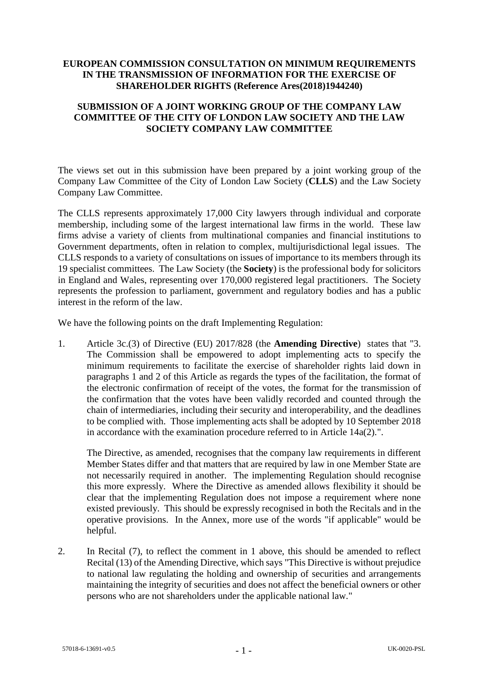## **EUROPEAN COMMISSION CONSULTATION ON MINIMUM REQUIREMENTS IN THE TRANSMISSION OF INFORMATION FOR THE EXERCISE OF SHAREHOLDER RIGHTS (Reference Ares(2018)1944240)**

## **SUBMISSION OF A JOINT WORKING GROUP OF THE COMPANY LAW COMMITTEE OF THE CITY OF LONDON LAW SOCIETY AND THE LAW SOCIETY COMPANY LAW COMMITTEE**

The views set out in this submission have been prepared by a joint working group of the Company Law Committee of the City of London Law Society (**CLLS**) and the Law Society Company Law Committee.

The CLLS represents approximately 17,000 City lawyers through individual and corporate membership, including some of the largest international law firms in the world. These law firms advise a variety of clients from multinational companies and financial institutions to Government departments, often in relation to complex, multijurisdictional legal issues. The CLLS responds to a variety of consultations on issues of importance to its members through its 19 specialist committees. The Law Society (the **Society**) is the professional body for solicitors in England and Wales, representing over 170,000 registered legal practitioners. The Society represents the profession to parliament, government and regulatory bodies and has a public interest in the reform of the law.

We have the following points on the draft Implementing Regulation:

1. Article 3c.(3) of Directive (EU) 2017/828 (the **Amending Directive**) states that "3. The Commission shall be empowered to adopt implementing acts to specify the minimum requirements to facilitate the exercise of shareholder rights laid down in paragraphs 1 and 2 of this Article as regards the types of the facilitation, the format of the electronic confirmation of receipt of the votes, the format for the transmission of the confirmation that the votes have been validly recorded and counted through the chain of intermediaries, including their security and interoperability, and the deadlines to be complied with. Those implementing acts shall be adopted by 10 September 2018 in accordance with the examination procedure referred to in Article 14a(2).".

The Directive, as amended, recognises that the company law requirements in different Member States differ and that matters that are required by law in one Member State are not necessarily required in another. The implementing Regulation should recognise this more expressly. Where the Directive as amended allows flexibility it should be clear that the implementing Regulation does not impose a requirement where none existed previously. This should be expressly recognised in both the Recitals and in the operative provisions. In the Annex, more use of the words "if applicable" would be helpful.

2. In Recital (7), to reflect the comment in 1 above, this should be amended to reflect Recital (13) of the Amending Directive, which says "This Directive is without prejudice to national law regulating the holding and ownership of securities and arrangements maintaining the integrity of securities and does not affect the beneficial owners or other persons who are not shareholders under the applicable national law."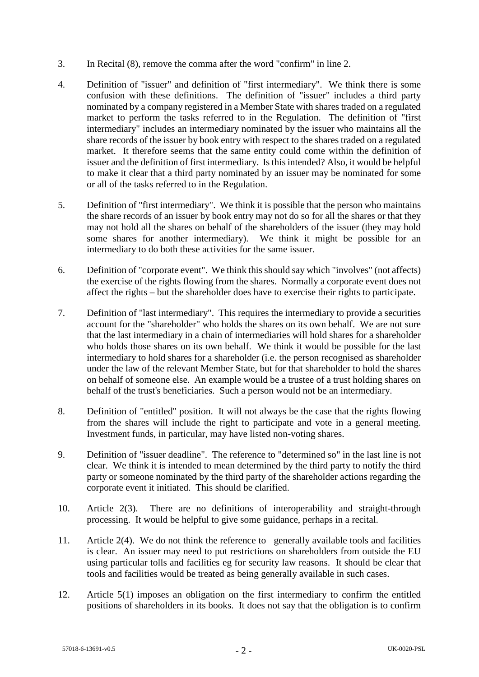- 3. In Recital (8), remove the comma after the word "confirm" in line 2.
- 4. Definition of "issuer" and definition of "first intermediary". We think there is some confusion with these definitions. The definition of "issuer" includes a third party nominated by a company registered in a Member State with shares traded on a regulated market to perform the tasks referred to in the Regulation. The definition of "first intermediary" includes an intermediary nominated by the issuer who maintains all the share records of the issuer by book entry with respect to the shares traded on a regulated market. It therefore seems that the same entity could come within the definition of issuer and the definition of first intermediary. Is this intended? Also, it would be helpful to make it clear that a third party nominated by an issuer may be nominated for some or all of the tasks referred to in the Regulation.
- 5. Definition of "first intermediary". We think it is possible that the person who maintains the share records of an issuer by book entry may not do so for all the shares or that they may not hold all the shares on behalf of the shareholders of the issuer (they may hold some shares for another intermediary). We think it might be possible for an intermediary to do both these activities for the same issuer.
- 6. Definition of "corporate event". We think this should say which "involves" (not affects) the exercise of the rights flowing from the shares. Normally a corporate event does not affect the rights – but the shareholder does have to exercise their rights to participate.
- 7. Definition of "last intermediary". This requires the intermediary to provide a securities account for the "shareholder" who holds the shares on its own behalf. We are not sure that the last intermediary in a chain of intermediaries will hold shares for a shareholder who holds those shares on its own behalf. We think it would be possible for the last intermediary to hold shares for a shareholder (i.e. the person recognised as shareholder under the law of the relevant Member State, but for that shareholder to hold the shares on behalf of someone else. An example would be a trustee of a trust holding shares on behalf of the trust's beneficiaries. Such a person would not be an intermediary.
- 8. Definition of "entitled" position. It will not always be the case that the rights flowing from the shares will include the right to participate and vote in a general meeting. Investment funds, in particular, may have listed non-voting shares.
- 9. Definition of "issuer deadline". The reference to "determined so" in the last line is not clear. We think it is intended to mean determined by the third party to notify the third party or someone nominated by the third party of the shareholder actions regarding the corporate event it initiated. This should be clarified.
- 10. Article 2(3). There are no definitions of interoperability and straight-through processing. It would be helpful to give some guidance, perhaps in a recital.
- 11. Article 2(4). We do not think the reference to generally available tools and facilities is clear. An issuer may need to put restrictions on shareholders from outside the EU using particular tolls and facilities eg for security law reasons. It should be clear that tools and facilities would be treated as being generally available in such cases.
- 12. Article 5(1) imposes an obligation on the first intermediary to confirm the entitled positions of shareholders in its books. It does not say that the obligation is to confirm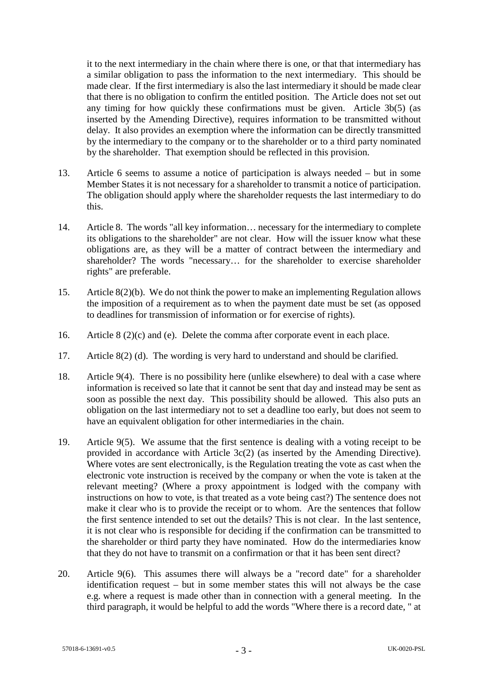it to the next intermediary in the chain where there is one, or that that intermediary has a similar obligation to pass the information to the next intermediary. This should be made clear. If the first intermediary is also the last intermediary it should be made clear that there is no obligation to confirm the entitled position. The Article does not set out any timing for how quickly these confirmations must be given. Article 3b(5) (as inserted by the Amending Directive), requires information to be transmitted without delay. It also provides an exemption where the information can be directly transmitted by the intermediary to the company or to the shareholder or to a third party nominated by the shareholder. That exemption should be reflected in this provision.

- 13. Article 6 seems to assume a notice of participation is always needed but in some Member States it is not necessary for a shareholder to transmit a notice of participation. The obligation should apply where the shareholder requests the last intermediary to do this.
- 14. Article 8. The words "all key information… necessary for the intermediary to complete its obligations to the shareholder" are not clear. How will the issuer know what these obligations are, as they will be a matter of contract between the intermediary and shareholder? The words "necessary… for the shareholder to exercise shareholder rights" are preferable.
- 15. Article 8(2)(b). We do not think the power to make an implementing Regulation allows the imposition of a requirement as to when the payment date must be set (as opposed to deadlines for transmission of information or for exercise of rights).
- 16. Article 8 (2)(c) and (e). Delete the comma after corporate event in each place.
- 17. Article 8(2) (d). The wording is very hard to understand and should be clarified.
- 18. Article 9(4). There is no possibility here (unlike elsewhere) to deal with a case where information is received so late that it cannot be sent that day and instead may be sent as soon as possible the next day. This possibility should be allowed. This also puts an obligation on the last intermediary not to set a deadline too early, but does not seem to have an equivalent obligation for other intermediaries in the chain.
- 19. Article 9(5). We assume that the first sentence is dealing with a voting receipt to be provided in accordance with Article 3c(2) (as inserted by the Amending Directive). Where votes are sent electronically, is the Regulation treating the vote as cast when the electronic vote instruction is received by the company or when the vote is taken at the relevant meeting? (Where a proxy appointment is lodged with the company with instructions on how to vote, is that treated as a vote being cast?) The sentence does not make it clear who is to provide the receipt or to whom. Are the sentences that follow the first sentence intended to set out the details? This is not clear. In the last sentence, it is not clear who is responsible for deciding if the confirmation can be transmitted to the shareholder or third party they have nominated. How do the intermediaries know that they do not have to transmit on a confirmation or that it has been sent direct?
- 20. Article 9(6). This assumes there will always be a "record date" for a shareholder identification request – but in some member states this will not always be the case e.g. where a request is made other than in connection with a general meeting. In the third paragraph, it would be helpful to add the words "Where there is a record date, " at